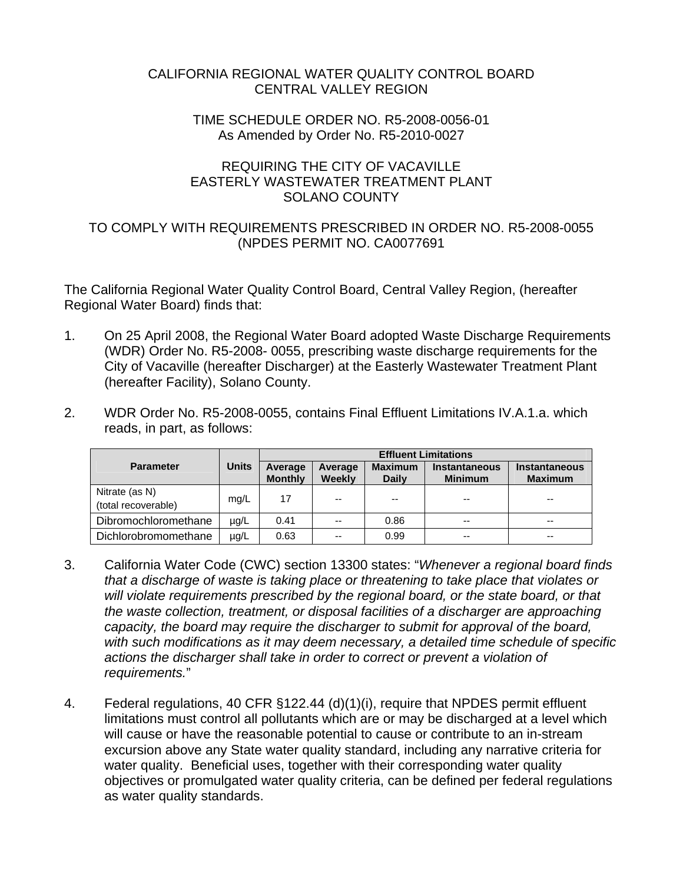### CALIFORNIA REGIONAL WATER QUALITY CONTROL BOARD CENTRAL VALLEY REGION

#### TIME SCHEDULE ORDER NO. R5-2008-0056-01 As Amended by Order No. R5-2010-0027

## REQUIRING THE CITY OF VACAVILLE EASTERLY WASTEWATER TREATMENT PLANT SOLANO COUNTY

### TO COMPLY WITH REQUIREMENTS PRESCRIBED IN ORDER NO. R5-2008-0055 (NPDES PERMIT NO. CA0077691

The California Regional Water Quality Control Board, Central Valley Region, (hereafter Regional Water Board) finds that:

- 1. On 25 April 2008, the Regional Water Board adopted Waste Discharge Requirements (WDR) Order No. R5-2008- 0055, prescribing waste discharge requirements for the City of Vacaville (hereafter Discharger) at the Easterly Wastewater Treatment Plant (hereafter Facility), Solano County.
- 2. WDR Order No. R5-2008-0055, contains Final Effluent Limitations IV.A.1.a. which reads, in part, as follows:

|                                       |              | <b>Effluent Limitations</b> |                   |                                |                                        |                                        |
|---------------------------------------|--------------|-----------------------------|-------------------|--------------------------------|----------------------------------------|----------------------------------------|
| <b>Parameter</b>                      | <b>Units</b> | Average<br><b>Monthly</b>   | Average<br>Weekly | <b>Maximum</b><br><b>Daily</b> | <b>Instantaneous</b><br><b>Minimum</b> | <b>Instantaneous</b><br><b>Maximum</b> |
| Nitrate (as N)<br>(total recoverable) | mg/L         | 17                          | --                | $- -$                          | --                                     | $-$                                    |
| Dibromochloromethane                  | $\mu$ g/L    | 0.41                        | $-$               | 0.86                           | $- -$                                  | $- -$                                  |
| Dichlorobromomethane                  | $\mu$ g/L    | 0.63                        |                   | 0.99                           | --                                     | $-$                                    |

- 3. California Water Code (CWC) section 13300 states: "*Whenever a regional board finds that a discharge of waste is taking place or threatening to take place that violates or will violate requirements prescribed by the regional board, or the state board, or that the waste collection, treatment, or disposal facilities of a discharger are approaching capacity, the board may require the discharger to submit for approval of the board, with such modifications as it may deem necessary, a detailed time schedule of specific actions the discharger shall take in order to correct or prevent a violation of requirements.*"
- 4. Federal regulations, 40 CFR §122.44 (d)(1)(i), require that NPDES permit effluent limitations must control all pollutants which are or may be discharged at a level which will cause or have the reasonable potential to cause or contribute to an in-stream excursion above any State water quality standard, including any narrative criteria for water quality. Beneficial uses, together with their corresponding water quality objectives or promulgated water quality criteria, can be defined per federal regulations as water quality standards.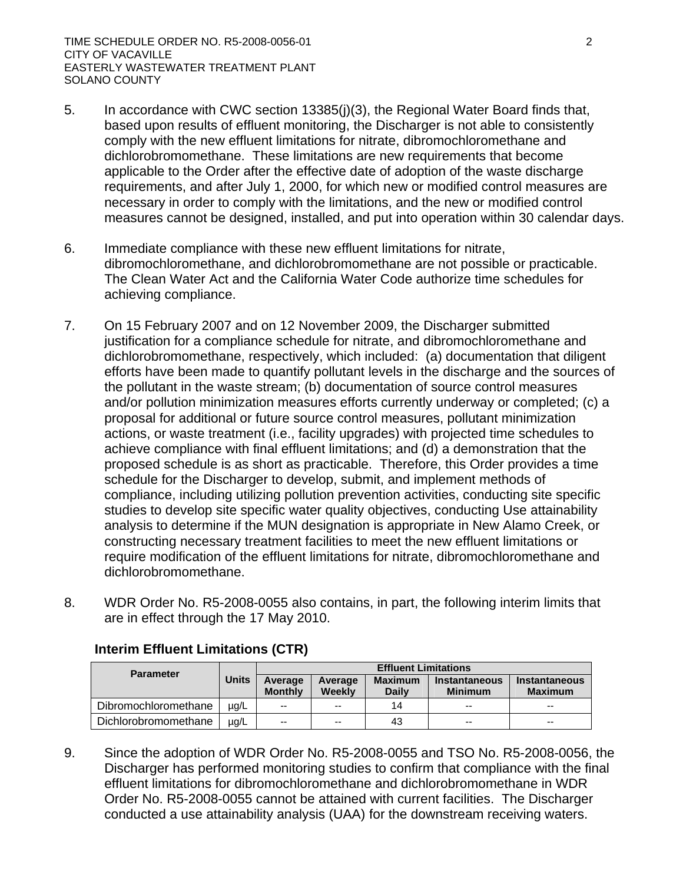- 5. In accordance with CWC section 13385(j)(3), the Regional Water Board finds that, based upon results of effluent monitoring, the Discharger is not able to consistently comply with the new effluent limitations for nitrate, dibromochloromethane and dichlorobromomethane. These limitations are new requirements that become applicable to the Order after the effective date of adoption of the waste discharge requirements, and after July 1, 2000, for which new or modified control measures are necessary in order to comply with the limitations, and the new or modified control measures cannot be designed, installed, and put into operation within 30 calendar days.
- 6. Immediate compliance with these new effluent limitations for nitrate, dibromochloromethane, and dichlorobromomethane are not possible or practicable. The Clean Water Act and the California Water Code authorize time schedules for achieving compliance.
- 7. On 15 February 2007 and on 12 November 2009, the Discharger submitted justification for a compliance schedule for nitrate, and dibromochloromethane and dichlorobromomethane, respectively, which included: (a) documentation that diligent efforts have been made to quantify pollutant levels in the discharge and the sources of the pollutant in the waste stream; (b) documentation of source control measures and/or pollution minimization measures efforts currently underway or completed; (c) a proposal for additional or future source control measures, pollutant minimization actions, or waste treatment (i.e., facility upgrades) with projected time schedules to achieve compliance with final effluent limitations; and (d) a demonstration that the proposed schedule is as short as practicable. Therefore, this Order provides a time schedule for the Discharger to develop, submit, and implement methods of compliance, including utilizing pollution prevention activities, conducting site specific studies to develop site specific water quality objectives, conducting Use attainability analysis to determine if the MUN designation is appropriate in New Alamo Creek, or constructing necessary treatment facilities to meet the new effluent limitations or require modification of the effluent limitations for nitrate, dibromochloromethane and dichlorobromomethane.
- 8. WDR Order No. R5-2008-0055 also contains, in part, the following interim limits that are in effect through the 17 May 2010.

| <b>Parameter</b>     |              | <b>Effluent Limitations</b> |                   |                         |                                        |                                 |
|----------------------|--------------|-----------------------------|-------------------|-------------------------|----------------------------------------|---------------------------------|
|                      | <b>Units</b> | Average<br><b>Monthly</b>   | Average<br>Weekly | <b>Maximum</b><br>Daily | <b>Instantaneous</b><br><b>Minimum</b> | Instantaneous<br><b>Maximum</b> |
| Dibromochloromethane | $\mu q/L$    | $-$                         | $-$               | 14                      | $\sim$ $\sim$                          | $\sim$ $\sim$                   |
| Dichlorobromomethane | $\mu q/L$    | $-$                         | $-$               | 43                      | $\sim$ $\sim$                          | $- -$                           |

# **Interim Effluent Limitations (CTR)**

9. Since the adoption of WDR Order No. R5-2008-0055 and TSO No. R5-2008-0056, the Discharger has performed monitoring studies to confirm that compliance with the final effluent limitations for dibromochloromethane and dichlorobromomethane in WDR Order No. R5-2008-0055 cannot be attained with current facilities. The Discharger conducted a use attainability analysis (UAA) for the downstream receiving waters.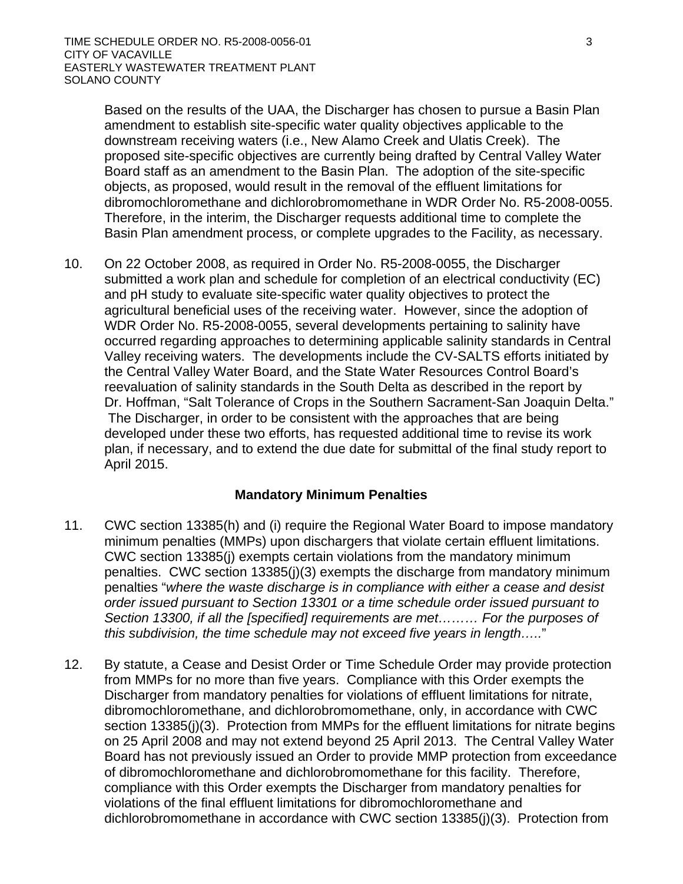Based on the results of the UAA, the Discharger has chosen to pursue a Basin Plan amendment to establish site-specific water quality objectives applicable to the downstream receiving waters (i.e., New Alamo Creek and Ulatis Creek). The proposed site-specific objectives are currently being drafted by Central Valley Water Board staff as an amendment to the Basin Plan. The adoption of the site-specific objects, as proposed, would result in the removal of the effluent limitations for dibromochloromethane and dichlorobromomethane in WDR Order No. R5-2008-0055. Therefore, in the interim, the Discharger requests additional time to complete the Basin Plan amendment process, or complete upgrades to the Facility, as necessary.

10. On 22 October 2008, as required in Order No. R5-2008-0055, the Discharger submitted a work plan and schedule for completion of an electrical conductivity (EC) and pH study to evaluate site-specific water quality objectives to protect the agricultural beneficial uses of the receiving water. However, since the adoption of WDR Order No. R5-2008-0055, several developments pertaining to salinity have occurred regarding approaches to determining applicable salinity standards in Central Valley receiving waters. The developments include the CV-SALTS efforts initiated by the Central Valley Water Board, and the State Water Resources Control Board's reevaluation of salinity standards in the South Delta as described in the report by Dr. Hoffman, "Salt Tolerance of Crops in the Southern Sacrament-San Joaquin Delta." The Discharger, in order to be consistent with the approaches that are being developed under these two efforts, has requested additional time to revise its work plan, if necessary, and to extend the due date for submittal of the final study report to April 2015.

## **Mandatory Minimum Penalties**

- 11. CWC section 13385(h) and (i) require the Regional Water Board to impose mandatory minimum penalties (MMPs) upon dischargers that violate certain effluent limitations. CWC section 13385(j) exempts certain violations from the mandatory minimum penalties. CWC section 13385(j)(3) exempts the discharge from mandatory minimum penalties "*where the waste discharge is in compliance with either a cease and desist order issued pursuant to Section 13301 or a time schedule order issued pursuant to Section 13300, if all the [specified] requirements are met……… For the purposes of this subdivision, the time schedule may not exceed five years in length…..*"
- 12. By statute, a Cease and Desist Order or Time Schedule Order may provide protection from MMPs for no more than five years. Compliance with this Order exempts the Discharger from mandatory penalties for violations of effluent limitations for nitrate, dibromochloromethane, and dichlorobromomethane, only, in accordance with CWC section 13385(j)(3). Protection from MMPs for the effluent limitations for nitrate begins on 25 April 2008 and may not extend beyond 25 April 2013. The Central Valley Water Board has not previously issued an Order to provide MMP protection from exceedance of dibromochloromethane and dichlorobromomethane for this facility. Therefore, compliance with this Order exempts the Discharger from mandatory penalties for violations of the final effluent limitations for dibromochloromethane and dichlorobromomethane in accordance with CWC section 13385(j)(3). Protection from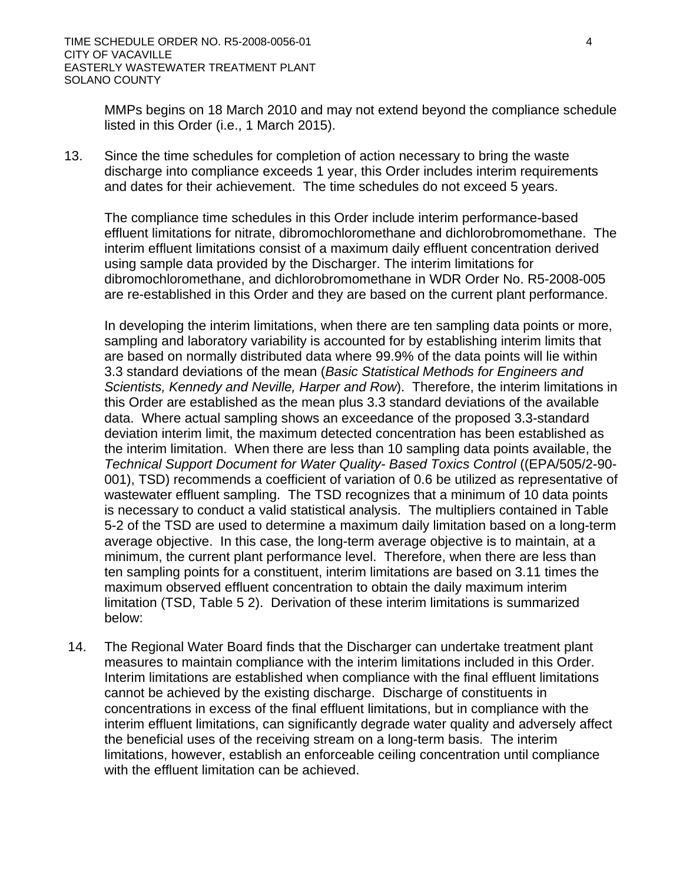MMPs begins on 18 March 2010 and may not extend beyond the compliance schedule listed in this Order (i.e., 1 March 2015).

13. Since the time schedules for completion of action necessary to bring the waste discharge into compliance exceeds 1 year, this Order includes interim requirements and dates for their achievement. The time schedules do not exceed 5 years.

The compliance time schedules in this Order include interim performance-based effluent limitations for nitrate, dibromochloromethane and dichlorobromomethane. The interim effluent limitations consist of a maximum daily effluent concentration derived using sample data provided by the Discharger. The interim limitations for dibromochloromethane, and dichlorobromomethane in WDR Order No. R5-2008-005 are re-established in this Order and they are based on the current plant performance.

In developing the interim limitations, when there are ten sampling data points or more, sampling and laboratory variability is accounted for by establishing interim limits that are based on normally distributed data where 99.9% of the data points will lie within 3.3 standard deviations of the mean (*Basic Statistical Methods for Engineers and Scientists, Kennedy and Neville, Harper and Row*). Therefore, the interim limitations in this Order are established as the mean plus 3.3 standard deviations of the available data. Where actual sampling shows an exceedance of the proposed 3.3-standard deviation interim limit, the maximum detected concentration has been established as the interim limitation. When there are less than 10 sampling data points available, the *Technical Support Document for Water Quality- Based Toxics Control* ((EPA/505/2-90- 001), TSD) recommends a coefficient of variation of 0.6 be utilized as representative of wastewater effluent sampling. The TSD recognizes that a minimum of 10 data points is necessary to conduct a valid statistical analysis. The multipliers contained in Table 5-2 of the TSD are used to determine a maximum daily limitation based on a long-term average objective. In this case, the long-term average objective is to maintain, at a minimum, the current plant performance level. Therefore, when there are less than ten sampling points for a constituent, interim limitations are based on 3.11 times the maximum observed effluent concentration to obtain the daily maximum interim limitation (TSD, Table 5 2). Derivation of these interim limitations is summarized below:

14. The Regional Water Board finds that the Discharger can undertake treatment plant measures to maintain compliance with the interim limitations included in this Order. Interim limitations are established when compliance with the final effluent limitations cannot be achieved by the existing discharge. Discharge of constituents in concentrations in excess of the final effluent limitations, but in compliance with the interim effluent limitations, can significantly degrade water quality and adversely affect the beneficial uses of the receiving stream on a long-term basis. The interim limitations, however, establish an enforceable ceiling concentration until compliance with the effluent limitation can be achieved.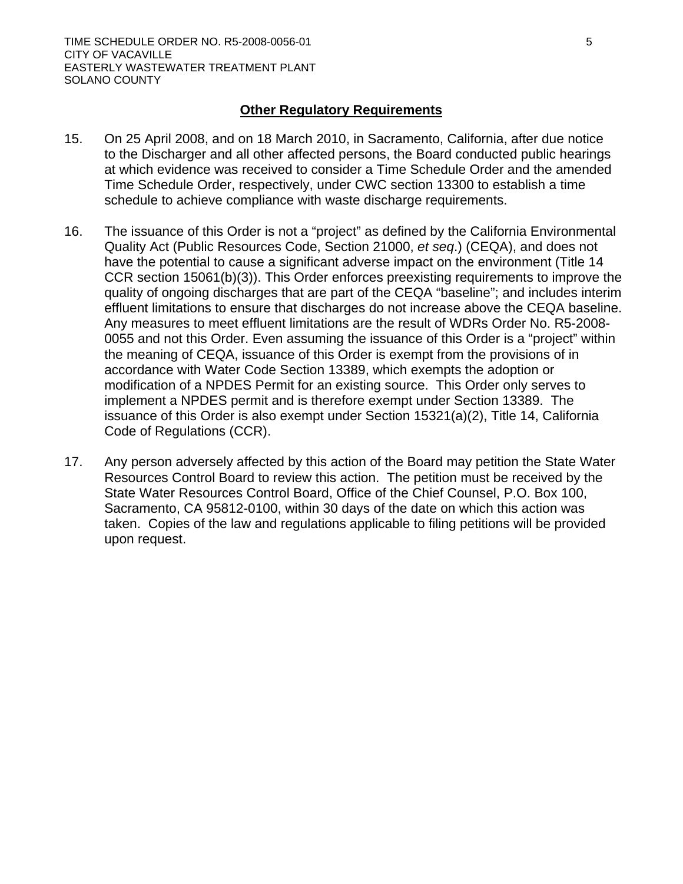### **Other Regulatory Requirements**

- 15. On 25 April 2008, and on 18 March 2010, in Sacramento, California, after due notice to the Discharger and all other affected persons, the Board conducted public hearings at which evidence was received to consider a Time Schedule Order and the amended Time Schedule Order, respectively, under CWC section 13300 to establish a time schedule to achieve compliance with waste discharge requirements.
- 16. The issuance of this Order is not a "project" as defined by the California Environmental Quality Act (Public Resources Code, Section 21000, *et seq*.) (CEQA), and does not have the potential to cause a significant adverse impact on the environment (Title 14 CCR section 15061(b)(3)). This Order enforces preexisting requirements to improve the quality of ongoing discharges that are part of the CEQA "baseline"; and includes interim effluent limitations to ensure that discharges do not increase above the CEQA baseline. Any measures to meet effluent limitations are the result of WDRs Order No. R5-2008- 0055 and not this Order. Even assuming the issuance of this Order is a "project" within the meaning of CEQA, issuance of this Order is exempt from the provisions of in accordance with Water Code Section 13389, which exempts the adoption or modification of a NPDES Permit for an existing source. This Order only serves to implement a NPDES permit and is therefore exempt under Section 13389. The issuance of this Order is also exempt under Section 15321(a)(2), Title 14, California Code of Regulations (CCR).
- 17. Any person adversely affected by this action of the Board may petition the State Water Resources Control Board to review this action. The petition must be received by the State Water Resources Control Board, Office of the Chief Counsel, P.O. Box 100, Sacramento, CA 95812-0100, within 30 days of the date on which this action was taken. Copies of the law and regulations applicable to filing petitions will be provided upon request.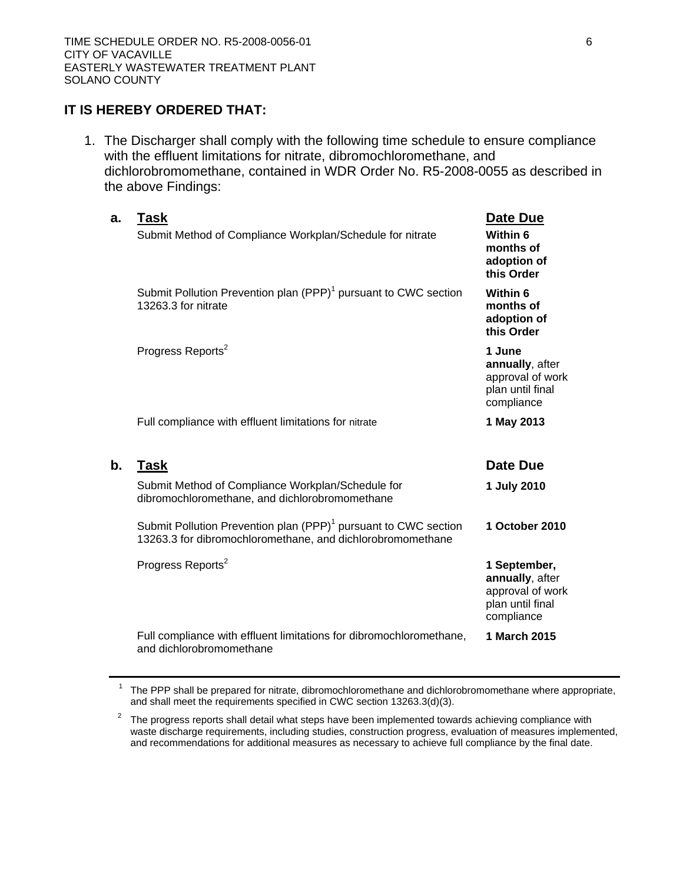### **IT IS HEREBY ORDERED THAT:**

1. The Discharger shall comply with the following time schedule to ensure compliance with the effluent limitations for nitrate, dibromochloromethane, and dichlorobromomethane, contained in WDR Order No. R5-2008-0055 as described in the above Findings:

| a.            | <b>Task</b><br>Submit Method of Compliance Workplan/Schedule for nitrate                                                                  | Date Due<br>Within 6<br>months of<br>adoption of<br>this Order                        |
|---------------|-------------------------------------------------------------------------------------------------------------------------------------------|---------------------------------------------------------------------------------------|
|               | Submit Pollution Prevention plan (PPP) <sup>1</sup> pursuant to CWC section<br>13263.3 for nitrate                                        | Within 6<br>months of<br>adoption of<br>this Order                                    |
|               | Progress Reports <sup>2</sup>                                                                                                             | 1 June<br>annually, after<br>approval of work<br>plan until final<br>compliance       |
|               | Full compliance with effluent limitations for nitrate                                                                                     | 1 May 2013                                                                            |
| $\mathbf b$ . | <b>Task</b>                                                                                                                               | Date Due                                                                              |
|               |                                                                                                                                           |                                                                                       |
|               | Submit Method of Compliance Workplan/Schedule for<br>dibromochloromethane, and dichlorobromomethane                                       | 1 July 2010                                                                           |
|               | Submit Pollution Prevention plan (PPP) <sup>1</sup> pursuant to CWC section<br>13263.3 for dibromochloromethane, and dichlorobromomethane | 1 October 2010                                                                        |
|               | Progress Reports <sup>2</sup>                                                                                                             | 1 September,<br>annually, after<br>approval of work<br>plan until final<br>compliance |

 $1$  The PPP shall be prepared for nitrate, dibromochloromethane and dichlorobromomethane where appropriate, and shall meet the requirements specified in CWC section 13263.3(d)(3).

 $2$  The progress reports shall detail what steps have been implemented towards achieving compliance with waste discharge requirements, including studies, construction progress, evaluation of measures implemented, and recommendations for additional measures as necessary to achieve full compliance by the final date.